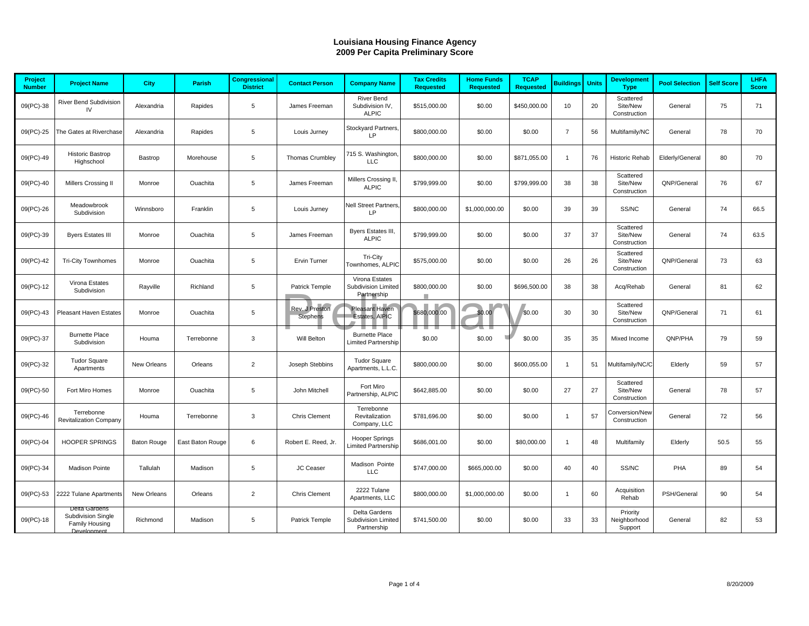| <b>Louisiana Housing Finance Agency</b><br>2009 Per Capita Preliminary Score |                                                              |                    |                  |                                         |                                   |                                                      |                                        |                                       |                                 |                  |              |                                       |                       |                   |                             |
|------------------------------------------------------------------------------|--------------------------------------------------------------|--------------------|------------------|-----------------------------------------|-----------------------------------|------------------------------------------------------|----------------------------------------|---------------------------------------|---------------------------------|------------------|--------------|---------------------------------------|-----------------------|-------------------|-----------------------------|
|                                                                              |                                                              |                    |                  |                                         |                                   |                                                      |                                        |                                       |                                 |                  |              |                                       |                       |                   |                             |
| Project<br><b>Number</b>                                                     | <b>Project Name</b>                                          | City               | Parish           | <b>Congressional</b><br><b>District</b> | <b>Contact Person</b>             | <b>Company Name</b>                                  | <b>Tax Credits</b><br><b>Requested</b> | <b>Home Funds</b><br><b>Requested</b> | <b>TCAP</b><br><b>Requested</b> | <b>Buildings</b> | <b>Units</b> | <b>Development</b><br><b>Type</b>     | <b>Pool Selection</b> | <b>Self Score</b> | <b>LHFA</b><br><b>Score</b> |
| 09(PC)-38                                                                    | River Bend Subdivision<br>IV                                 | Alexandria         | Rapides          | 5                                       | James Freeman                     | <b>River Bend</b><br>Subdivision IV,<br><b>ALPIC</b> | \$515,000.00                           | \$0.00                                | \$450,000.00                    | 10               | 20           | Scattered<br>Site/New<br>Construction | General               | 75                | 71                          |
| 09(PC)-25                                                                    | The Gates at Riverchase                                      | Alexandria         | Rapides          | 5                                       | Louis Jurney                      | Stockyard Partners,<br>LP                            | \$800,000.00                           | \$0.00                                | \$0.00                          | $\overline{7}$   | 56           | Multifamily/NC                        | General               | 78                | 70                          |
| 09(PC)-49                                                                    | <b>Historic Bastrop</b><br>Highschool                        | Bastrop            | Morehouse        | 5                                       | Thomas Crumbley                   | 715 S. Washington<br>LLC                             | \$800,000.00                           | \$0.00                                | \$871,055.00                    | $\mathbf{1}$     | 76           | Historic Rehab                        | Elderly/General       | 80                | 70                          |
| 09(PC)-40                                                                    | Millers Crossing II                                          | Monroe             | Ouachita         | 5                                       | James Freeman                     | Millers Crossing II,<br><b>ALPIC</b>                 | \$799,999.00                           | \$0.00                                | \$799,999.00                    | 38               | 38           | Scattered<br>Site/New<br>Construction | QNP/General           | 76                | 67                          |
| 09(PC)-26                                                                    | Meadowbrook<br>Subdivision                                   | Winnsboro          | Franklin         | 5                                       | Louis Jurney                      | Nell Street Partners,<br>LP                          | \$800,000.00                           | \$1,000,000.00                        | \$0.00                          | 39               | 39           | SS/NC                                 | General               | 74                | 66.5                        |
| 09(PC)-39                                                                    | <b>Byers Estates III</b>                                     | Monroe             | Ouachita         | 5                                       | James Freeman                     | Byers Estates III,<br><b>ALPIC</b>                   | \$799,999.00                           | \$0.00                                | \$0.00                          | 37               | 37           | Scattered<br>Site/New<br>Construction | General               | 74                | 63.5                        |
| 09(PC)-42                                                                    | <b>Tri-City Townhomes</b>                                    | Monroe             | Ouachita         | 5                                       | Ervin Turner                      | Tri-City<br>Townhomes, ALPIC                         | \$575,000.00                           | \$0.00                                | \$0.00                          | 26               | 26           | Scattered<br>Site/New<br>Construction | QNP/General           | 73                | 63                          |
| 09(PC)-12                                                                    | Virona Estates<br>Subdivision                                | Rayville           | Richland         | 5                                       | Patrick Temple                    | Virona Estates<br>Subdivision Limited<br>Partnership | \$800,000.00                           | \$0.00                                | \$696,500.00                    | 38               | 38           | Acq/Rehab                             | General               | 81                | 62                          |
| 09(PC)-43                                                                    | Pleasant Haven Estates                                       | Monroe             | Ouachita         | 5                                       | Rev. J Preston<br><b>Stephens</b> | Pleasant Haven<br>Estates, AIPIC                     | \$680,000.00                           | \$0.00                                | \$0.00                          | 30               | 30           | Scattered<br>Site/New<br>Construction | QNP/General           | 71                | 61                          |
| 09(PC)-37                                                                    | <b>Burnette Place</b><br>Subdivision                         | Houma              | Terrebonne       | 3                                       | Will Belton                       | <b>Burnette Place</b><br>Limited Partnership         | \$0.00                                 | \$0.00                                | \$0.00                          | 35               | 35           | Mixed Income                          | QNP/PHA               | 79                | 59                          |
| 09(PC)-32                                                                    | <b>Tudor Square</b><br>Apartments                            | New Orleans        | Orleans          | $\overline{2}$                          | Joseph Stebbins                   | <b>Tudor Square</b><br>Apartments, L.L.C.            | \$800,000.00                           | \$0.00                                | \$600,055.00                    | $\mathbf{1}$     | 51           | Multifamily/NC/C                      | Elderly               | 59                | 57                          |
| 09(PC)-50                                                                    | Fort Miro Homes                                              | Monroe             | Ouachita         | 5                                       | John Mitchell                     | Fort Miro<br>Partnership, ALPIC                      | \$642,885.00                           | \$0.00                                | \$0.00                          | 27               | 27           | Scattered<br>Site/New<br>Construction | General               | 78                | 57                          |
| 09(PC)-46                                                                    | Terrebonne<br><b>Revitalization Company</b>                  | Houma              | Terrebonne       | 3                                       | Chris Clement                     | Terrebonne<br>Revitalization<br>Company, LLC         | \$781,696.00                           | \$0.00                                | \$0.00                          | $\mathbf{1}$     | 57           | Conversion/New<br>Construction        | General               | 72                | 56                          |
| 09(PC)-04                                                                    | <b>HOOPER SPRINGS</b>                                        | <b>Baton Rouge</b> | East Baton Rouge | 6                                       | Robert E. Reed, Jr.               | <b>Hooper Springs</b><br>Limited Partnership         | \$686,001.00                           | \$0.00                                | \$80,000.00                     | $\mathbf{1}$     | 48           | Multifamily                           | Elderly               | 50.5              | 55                          |
| 09(PC)-34                                                                    | <b>Madison Pointe</b>                                        | Tallulah           | Madison          | 5                                       | JC Ceaser                         | Madison Pointe<br><b>LLC</b>                         | \$747,000.00                           | \$665,000.00                          | \$0.00                          | 40               | 40           | SS/NC                                 | PHA                   | 89                | 54                          |
| 09(PC)-53                                                                    | 2222 Tulane Apartments                                       | New Orleans        | Orleans          | $\overline{2}$                          | <b>Chris Clement</b>              | 2222 Tulane<br>Apartments, LLC                       | \$800,000.00                           | \$1,000,000.00                        | \$0.00                          | $\mathbf{1}$     | 60           | Acquisition<br>Rehab                  | PSH/General           | 90                | 54                          |
| 09(PC)-18                                                                    | Delta Gardens<br><b>Subdivision Single</b><br>Family Housing | Richmond           | Madison          | 5                                       | Patrick Temple                    | Delta Gardens<br>Subdivision Limited<br>Partnership  | \$741,500.00                           | \$0.00                                | \$0.00                          | 33               | 33           | Priority<br>Neighborhood<br>Support   | General               | 82                | 53                          |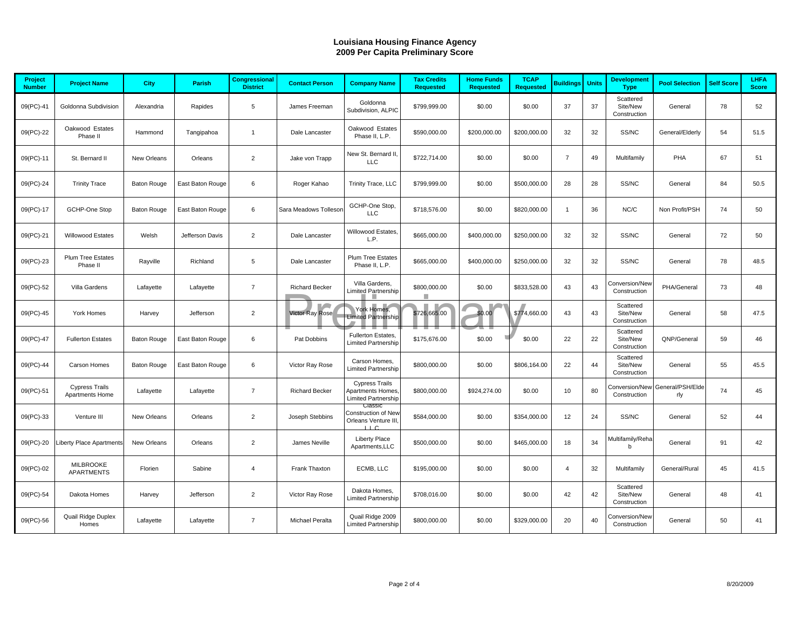|                          | <b>Louisiana Housing Finance Agency</b><br>2009 Per Capita Preliminary Score |                    |                  |                                         |                       |                                                                        |                                        |                                       |                                 |                  |              |                                       |                         |                   |                      |
|--------------------------|------------------------------------------------------------------------------|--------------------|------------------|-----------------------------------------|-----------------------|------------------------------------------------------------------------|----------------------------------------|---------------------------------------|---------------------------------|------------------|--------------|---------------------------------------|-------------------------|-------------------|----------------------|
| Project<br><b>Number</b> | <b>Project Name</b>                                                          | <b>City</b>        | Parish           | <b>Congressional</b><br><b>District</b> | <b>Contact Person</b> | <b>Company Name</b>                                                    | <b>Tax Credits</b><br><b>Requested</b> | <b>Home Funds</b><br><b>Requested</b> | <b>TCAP</b><br><b>Requested</b> | <b>Buildings</b> | <b>Units</b> | <b>Development</b><br><b>Type</b>     | <b>Pool Selection</b>   | <b>Self Score</b> | LHFA<br><b>Score</b> |
| 09(PC)-41                | Goldonna Subdivision                                                         | Alexandria         | Rapides          | 5                                       | James Freeman         | Goldonna<br>Subdivision, ALPIC                                         | \$799,999.00                           | \$0.00                                | \$0.00                          | 37               | 37           | Scattered<br>Site/New<br>Construction | General                 | 78                | 52                   |
| 09(PC)-22                | Oakwood Estates<br>Phase II                                                  | Hammond            | Tangipahoa       | $\mathbf{1}$                            | Dale Lancaster        | Oakwood Estates<br>Phase II, L.P.                                      | \$590,000.00                           | \$200,000.00                          | \$200,000.00                    | 32               | 32           | SS/NC                                 | General/Elderly         | 54                | 51.5                 |
| 09(PC)-11                | St. Bernard II                                                               | New Orleans        | Orleans          | $\overline{2}$                          | Jake von Trapp        | New St. Bernard II,<br>LLC                                             | \$722,714.00                           | \$0.00                                | \$0.00                          | $\overline{7}$   | 49           | Multifamily                           | PHA                     | 67                | 51                   |
| 09(PC)-24                | <b>Trinity Trace</b>                                                         | <b>Baton Rouge</b> | East Baton Rouge | 6                                       | Roger Kahao           | Trinity Trace, LLC                                                     | \$799.999.00                           | \$0.00                                | \$500,000.00                    | 28               | 28           | SS/NC                                 | General                 | 84                | 50.5                 |
| 09(PC)-17                | GCHP-One Stop                                                                | <b>Baton Rouge</b> | East Baton Rouge | 6                                       | Sara Meadows Tollesor | GCHP-One Stop,<br><b>LLC</b>                                           | \$718,576.00                           | \$0.00                                | \$820,000.00                    | $\mathbf{1}$     | 36           | NC/C                                  | Non Profit/PSH          | 74                | 50                   |
| 09(PC)-21                | Willowood Estates                                                            | Welsh              | Jefferson Davis  | $\overline{2}$                          | Dale Lancaster        | Willowood Estates,<br>L.P.                                             | \$665,000.00                           | \$400,000.00                          | \$250,000.00                    | 32               | 32           | SS/NC                                 | General                 | 72                | 50                   |
| 09(PC)-23                | Plum Tree Estates<br>Phase II                                                | Rayville           | Richland         | 5                                       | Dale Lancaster        | Plum Tree Estates<br>Phase II, L.P.                                    | \$665,000.00                           | \$400,000.00                          | \$250,000.00                    | 32               | 32           | SS/NC                                 | General                 | 78                | 48.5                 |
| 09(PC)-52                | Villa Gardens                                                                | Lafayette          | Lafayette        | $\overline{7}$                          | <b>Richard Becker</b> | Villa Gardens,<br>Limited Partnership                                  | \$800,000.00<br>H.                     | \$0.00                                | \$833,528.00                    | 43               | 43           | Conversion/New<br>Construction        | PHA/General             | 73                | 48                   |
| 09(PC)-45                | York Homes                                                                   | Harvey             | Jefferson        | $\overline{2}$                          | Victor Ray Rose       | York Homes,<br><b>Limited Partnership</b>                              | г<br>\$726,665.00                      | \$0.00                                | \$774,660.00                    | 43               | 43           | Scattered<br>Site/New<br>Construction | General                 | 58                | 47.5                 |
| 09(PC)-47                | <b>Fullerton Estates</b>                                                     | <b>Baton Rouge</b> | East Baton Rouge | 6                                       | Pat Dobbins           | Fullerton Estates,<br><b>Limited Partnership</b>                       | \$175,676.00                           | \$0.00                                | \$0.00                          | 22               | 22           | Scattered<br>Site/New<br>Construction | QNP/General             | 59                | 46                   |
| 09(PC)-44                | Carson Homes                                                                 | <b>Baton Rouge</b> | East Baton Rouge | 6                                       | Victor Ray Rose       | Carson Homes,<br>Limited Partnership                                   | \$800,000.00                           | \$0.00                                | \$806,164.00                    | 22               | 44           | Scattered<br>Site/New<br>Construction | General                 | 55                | 45.5                 |
| 09(PC)-51                | <b>Cypress Trails</b><br>Apartments Home                                     | Lafayette          | Lafayette        | $\overline{7}$                          | <b>Richard Becker</b> | <b>Cypress Trails</b><br>Apartments Homes,<br>Limited Partnership      | \$800,000.00                           | \$924,274.00                          | \$0.00                          | 10               | 80           | Conversion/New<br>Construction        | General/PSH/Elde<br>rly | 74                | 45                   |
| 09(PC)-33                | Venture III                                                                  | New Orleans        | Orleans          | $\overline{2}$                          | Joseph Stebbins       | Classi<br>Construction of New<br>Orleans Venture III,<br>$\Box$ $\Box$ | \$584,000.00                           | \$0.00                                | \$354,000.00                    | 12               | 24           | SS/NC                                 | General                 | 52                | 44                   |
| 09(PC)-20                | <b>Liberty Place Apartments</b>                                              | New Orleans        | Orleans          | $\overline{2}$                          | James Neville         | <b>Liberty Place</b><br>Apartments, LLC                                | \$500,000.00                           | \$0.00                                | \$465,000.00                    | 18               | 34           | Multifamily/Reha<br>$\mathbf b$       | General                 | 91                | 42                   |
| 09(PC)-02                | <b>MILBROOKE</b><br><b>APARTMENTS</b>                                        | Florien            | Sabine           | $\overline{4}$                          | Frank Thaxton         | ECMB, LLC                                                              | \$195,000.00                           | \$0.00                                | \$0.00                          | $\overline{4}$   | 32           | Multifamily                           | General/Rural           | 45                | 41.5                 |
| 09(PC)-54                | Dakota Homes                                                                 | Harvey             | Jefferson        | $\overline{2}$                          | Victor Ray Rose       | Dakota Homes,<br><b>Limited Partnership</b>                            | \$708,016.00                           | \$0.00                                | \$0.00                          | 42               | 42           | Scattered<br>Site/New<br>Construction | General                 | 48                | 41                   |
| 09(PC)-56                | Quail Ridge Duplex<br>Homes                                                  | Lafayette          | Lafayette        | $\overline{7}$                          | Michael Peralta       | Quail Ridge 2009<br>Limited Partnership                                | \$800,000.00                           | \$0.00                                | \$329,000.00                    | 20               | 40           | Conversion/New<br>Construction        | General                 | 50                | 41                   |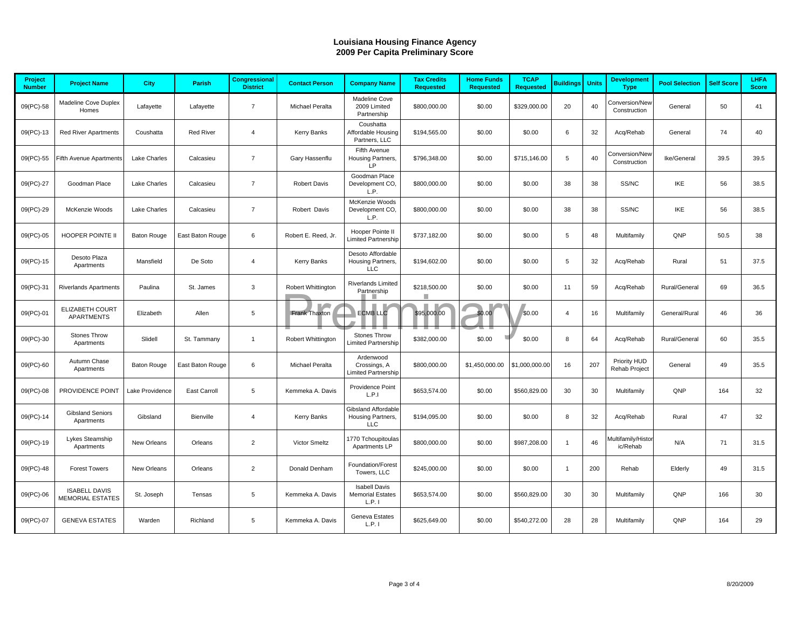|                          | <b>Louisiana Housing Finance Agency</b><br>2009 Per Capita Preliminary Score |                    |                  |                                  |                       |                                                          |                                        |                                       |                                 |                  |              |                                      |                       |                   |                      |
|--------------------------|------------------------------------------------------------------------------|--------------------|------------------|----------------------------------|-----------------------|----------------------------------------------------------|----------------------------------------|---------------------------------------|---------------------------------|------------------|--------------|--------------------------------------|-----------------------|-------------------|----------------------|
|                          |                                                                              |                    |                  |                                  |                       |                                                          |                                        |                                       |                                 |                  |              |                                      |                       |                   |                      |
| Project<br><b>Number</b> | <b>Project Name</b>                                                          | City               | Parish           | Congressional<br><b>District</b> | <b>Contact Person</b> | <b>Company Name</b>                                      | <b>Tax Credits</b><br><b>Requested</b> | <b>Home Funds</b><br><b>Requested</b> | <b>TCAP</b><br><b>Requested</b> | <b>Buildings</b> | <b>Units</b> | <b>Development</b><br><b>Type</b>    | <b>Pool Selection</b> | <b>Self Score</b> | LHFA<br><b>Score</b> |
| 09(PC)-58                | Madeline Cove Duplex<br>Homes                                                | Lafayette          | Lafayette        | $\overline{7}$                   | Michael Peralta       | Madeline Cove<br>2009 Limited<br>Partnership             | \$800,000.00                           | \$0.00                                | \$329,000.00                    | 20               | 40           | Conversion/New<br>Construction       | General               | 50                | 41                   |
| 09(PC)-13                | <b>Red River Apartments</b>                                                  | Coushatta          | <b>Red River</b> | $\overline{4}$                   | Kerry Banks           | Coushatta<br>Affordable Housing<br>Partners, LLC         | \$194,565.00                           | \$0.00                                | \$0.00                          | 6                | 32           | Acq/Rehab                            | General               | 74                | 40                   |
| 09(PC)-55                | <b>Fifth Avenue Apartments</b>                                               | Lake Charles       | Calcasieu        | $\overline{7}$                   | Gary Hassenflu        | Fifth Avenue<br>Housing Partners,<br>LP                  | \$796,348.00                           | \$0.00                                | \$715,146.00                    | 5                | 40           | Conversion/New<br>Construction       | Ike/General           | 39.5              | 39.5                 |
| 09(PC)-27                | Goodman Place                                                                | Lake Charles       | Calcasieu        | $\overline{7}$                   | <b>Robert Davis</b>   | Goodman Place<br>Development CO,<br>L.P.                 | \$800,000.00                           | \$0.00                                | \$0.00                          | 38               | 38           | SS/NC                                | <b>IKE</b>            | 56                | 38.5                 |
| 09(PC)-29                | McKenzie Woods                                                               | Lake Charles       | Calcasieu        | $\overline{7}$                   | Robert Davis          | McKenzie Woods<br>Development CO,<br>L.P.                | \$800,000.00                           | \$0.00                                | \$0.00                          | 38               | 38           | SS/NC                                | IKE                   | 56                | 38.5                 |
| 09(PC)-05                | HOOPER POINTE II                                                             | <b>Baton Rouge</b> | East Baton Rouge | 6                                | Robert E. Reed, Jr.   | Hooper Pointe II<br><b>Limited Partnership</b>           | \$737,182.00                           | \$0.00                                | \$0.00                          | 5                | 48           | Multifamily                          | QNP                   | 50.5              | 38                   |
| 09(PC)-15                | Desoto Plaza<br>Apartments                                                   | Mansfield          | De Soto          | $\overline{4}$                   | Kerry Banks           | Desoto Affordable<br>Housing Partners,<br><b>LLC</b>     | \$194,602.00                           | \$0.00                                | \$0.00                          | 5                | 32           | Acq/Rehab                            | Rural                 | 51                | 37.5                 |
| 09(PC)-31                | <b>Riverlands Apartments</b>                                                 | Paulina            | St. James        | 3                                | Robert Whittington    | <b>Riverlands Limited</b><br>Partnership                 | \$218,500.00<br>П                      | \$0.00                                | \$0.00                          | 11               | 59           | Acq/Rehab                            | Rural/General         | 69                | 36.5                 |
| 09(PC)-01                | ELIZABETH COURT<br><b>APARTMENTS</b>                                         | Elizabeth          | Allen            | 5                                | Frank Thaxton         | <b>ECMB LLC</b>                                          | \$95,000.00                            | \$0.00                                | \$0.00                          | $\overline{4}$   | 16           | Multifamily                          | General/Rural         | 46                | 36                   |
| 09(PC)-30                | Stones Throw<br>Apartments                                                   | Slidell            | St. Tammany      | $\mathbf{1}$                     | Robert Whittington    | Stones Throw<br>imited Partnership                       | \$382,000.00                           | \$0.00                                | \$0.00                          | 8                | 64           | Acq/Rehab                            | Rural/General         | 60                | 35.5                 |
| 09(PC)-60                | Autumn Chase<br>Apartments                                                   | <b>Baton Rouge</b> | East Baton Rouge | 6                                | Michael Peralta       | Ardenwood<br>Crossings, A<br>imited Partnership          | \$800,000.00                           | \$1,450,000.00                        | \$1,000,000.00                  | 16               | 207          | Priority HUD<br><b>Rehab Project</b> | General               | 49                | 35.5                 |
| 09(PC)-08                | PROVIDENCE POINT                                                             | Lake Providence    | East Carroll     | 5                                | Kemmeka A. Davis      | Providence Point<br>L.P.1                                | \$653,574.00                           | \$0.00                                | \$560,829.00                    | 30               | 30           | Multifamily                          | QNP                   | 164               | 32                   |
| 09(PC)-14                | <b>Gibsland Seniors</b><br>Apartments                                        | Gibsland           | Bienville        | $\overline{4}$                   | Kerry Banks           | <b>Gibsland Affordable</b><br>Housing Partners,<br>LLC   | \$194,095.00                           | \$0.00                                | \$0.00                          | 8                | 32           | Acq/Rehab                            | Rural                 | 47                | 32                   |
| 09(PC)-19                | Lykes Steamship<br>Apartments                                                | New Orleans        | Orleans          | 2                                | Victor Smeltz         | 1770 Tchoupitoulas<br>Apartments LP                      | \$800,000.00                           | \$0.00                                | \$987,208.00                    | $\mathbf{1}$     | 46           | Multifamily/Histor<br>ic/Rehab       | N/A                   | 71                | 31.5                 |
| 09(PC)-48                | <b>Forest Towers</b>                                                         | New Orleans        | Orleans          | $\overline{2}$                   | Donald Denham         | Foundation/Forest<br>Towers, LLC                         | \$245,000.00                           | \$0.00                                | \$0.00                          | $\mathbf{1}$     | 200          | Rehab                                | Elderly               | 49                | 31.5                 |
| 09(PC)-06                | <b>ISABELL DAVIS</b><br><b>MEMORIAL ESTATES</b>                              | St. Joseph         | Tensas           | $\sqrt{5}$                       | Kemmeka A. Davis      | <b>Isabell Davis</b><br><b>Memorial Estates</b><br>L.P.1 | \$653,574.00                           | \$0.00                                | \$560,829.00                    | 30               | 30           | Multifamily                          | QNP                   | 166               | 30                   |
| 09(PC)-07                | <b>GENEVA ESTATES</b>                                                        | Warden             | Richland         | 5                                | Kemmeka A. Davis      | Geneva Estates<br>L.P.1                                  | \$625,649.00                           | \$0.00                                | \$540,272.00                    | 28               | 28           | Multifamily                          | QNP                   | 164               | 29                   |